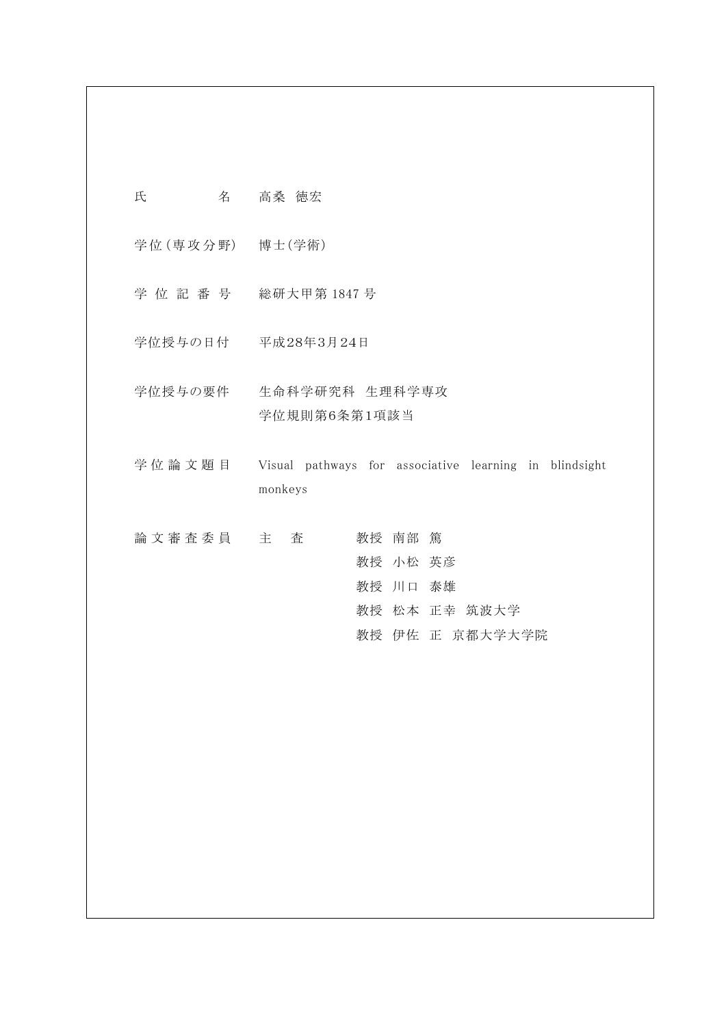| 氏 | 名 | 高桑 徳宏 |  |
|---|---|-------|--|
|   |   |       |  |

学 位 (専 攻 分 野) 博士(学術)

- 学 位 記 番 号 総研大甲第 1847 号
- 学位授与の日付 平成28年3月24日
- 学位授与の要件 生命科学研究科 生理科学専攻 学位規則第6条第1項該当
- 学 位 論 文 題 目 Visual pathways for associative learning in blindsight monkeys

| 論文審査委員 主 査 |  |  | 教授 南部 篤  |                 |
|------------|--|--|----------|-----------------|
|            |  |  | 教授 小松 英彦 |                 |
|            |  |  | 教授 川口 泰雄 |                 |
|            |  |  |          | 教授 松本 正幸 筑波大学   |
|            |  |  |          | 教授 伊佐 正 京都大学大学院 |
|            |  |  |          |                 |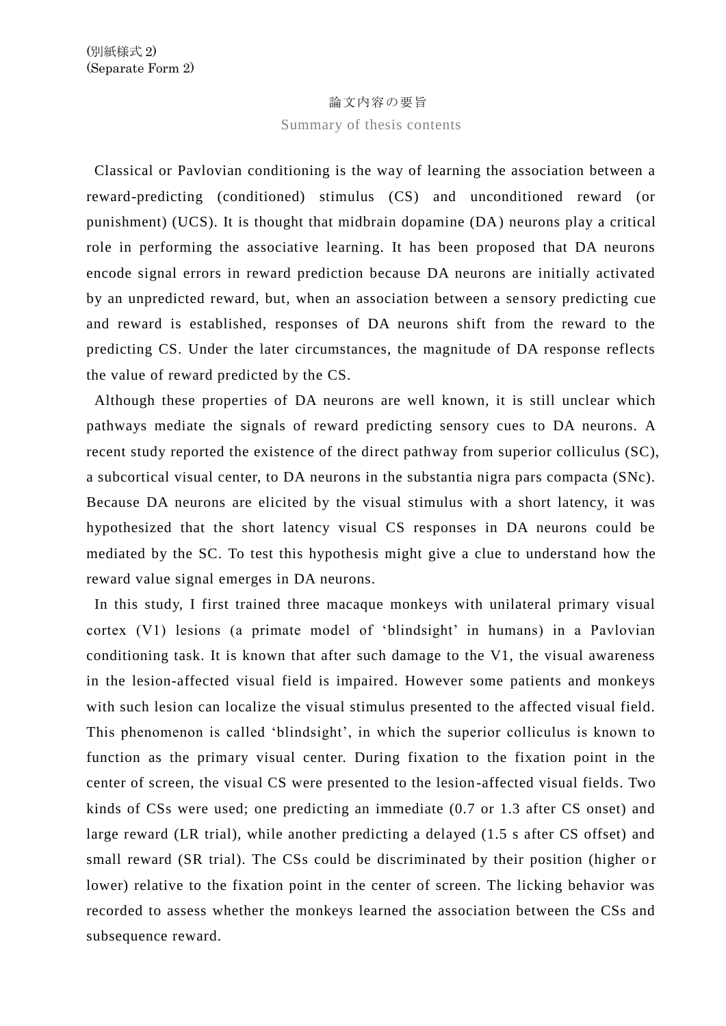## 論文内容の要旨

## Summary of thesis contents

Classical or Pavlovian conditioning is the way of learning the association between a reward-predicting (conditioned) stimulus (CS) and unconditioned reward (or punishment) (UCS). It is thought that midbrain dopamine (DA) neurons play a critical role in performing the associative learning. It has been proposed that DA neurons encode signal errors in reward prediction because DA neurons are initially activated by an unpredicted reward, but, when an association between a sensory predicting cue and reward is established, responses of DA neurons shift from the reward to the predicting CS. Under the later circumstances, the magnitude of DA response reflects the value of reward predicted by the CS.

Although these properties of DA neurons are well known, it is still unclear which pathways mediate the signals of reward predicting sensory cues to DA neurons. A recent study reported the existence of the direct pathway from superior colliculus (SC), a subcortical visual center, to DA neurons in the substantia nigra pars compacta (SNc). Because DA neurons are elicited by the visual stimulus with a short latency, it was hypothesized that the short latency visual CS responses in DA neurons could be mediated by the SC. To test this hypothesis might give a clue to understand how the reward value signal emerges in DA neurons.

In this study, I first trained three macaque monkeys with unilateral primary visual cortex (V1) lesions (a primate model of 'blindsight' in humans) in a Pavlovian conditioning task. It is known that after such damage to the V1, the visual awareness in the lesion-affected visual field is impaired. However some patients and monkeys with such lesion can localize the visual stimulus presented to the affected visual field. This phenomenon is called 'blindsight', in which the superior colliculus is known to function as the primary visual center. During fixation to the fixation point in the center of screen, the visual CS were presented to the lesion-affected visual fields. Two kinds of CSs were used; one predicting an immediate (0.7 or 1.3 after CS onset) and large reward (LR trial), while another predicting a delayed (1.5 s after CS offset) and small reward (SR trial). The CSs could be discriminated by their position (higher or lower) relative to the fixation point in the center of screen. The licking behavior was recorded to assess whether the monkeys learned the association between the CSs and subsequence reward.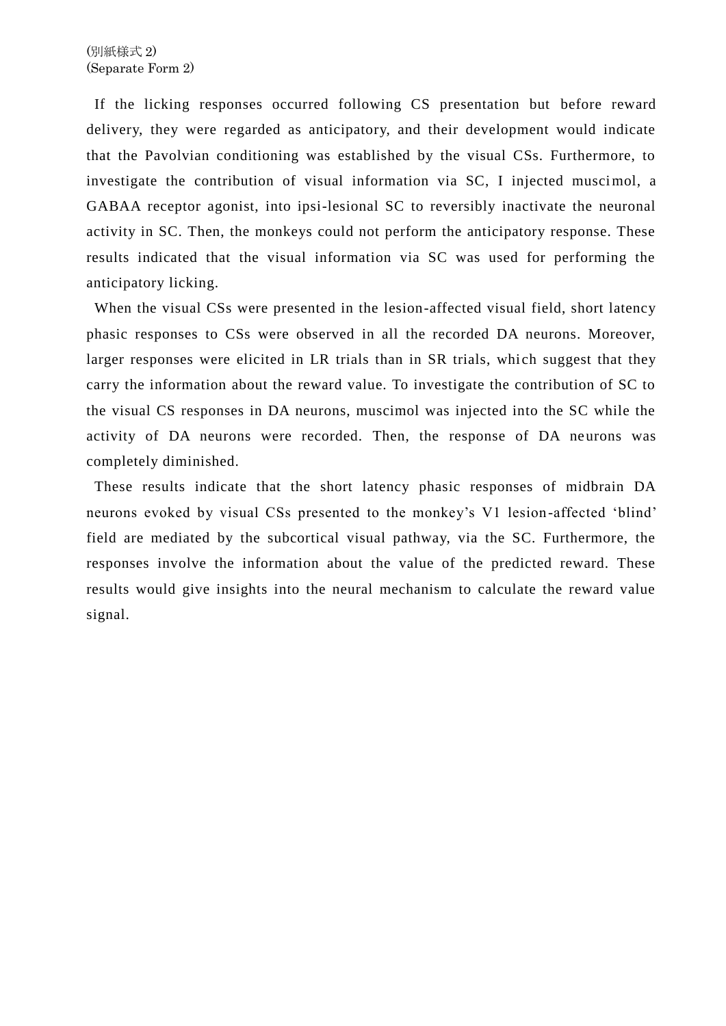If the licking responses occurred following CS presentation but before reward delivery, they were regarded as anticipatory, and their development would indicate that the Pavolvian conditioning was established by the visual CSs. Furthermore, to investigate the contribution of visual information via SC, I injected muscimol, a GABAA receptor agonist, into ipsi-lesional SC to reversibly inactivate the neuronal activity in SC. Then, the monkeys could not perform the anticipatory response. These results indicated that the visual information via SC was used for performing the anticipatory licking.

When the visual CSs were presented in the lesion-affected visual field, short latency phasic responses to CSs were observed in all the recorded DA neurons. Moreover, larger responses were elicited in LR trials than in SR trials, which suggest that they carry the information about the reward value. To investigate the contribution of SC to the visual CS responses in DA neurons, muscimol was injected into the SC while the activity of DA neurons were recorded. Then, the response of DA neurons was completely diminished.

These results indicate that the short latency phasic responses of midbrain DA neurons evoked by visual CSs presented to the monkey's V1 lesion-affected 'blind' field are mediated by the subcortical visual pathway, via the SC. Furthermore, the responses involve the information about the value of the predicted reward. These results would give insights into the neural mechanism to calculate the reward value signal.